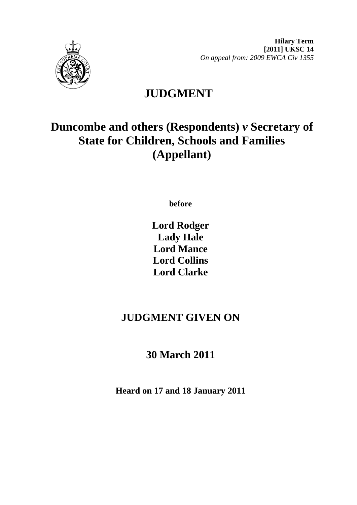

**Hilary Term [2011] UKSC 14**  *On appeal from: 2009 EWCA Civ 1355* 

# **JUDGMENT**

# **Duncombe and others (Respondents)** *v* **Secretary of State for Children, Schools and Families (Appellant)**

**before** 

**Lord Rodger Lady Hale Lord Mance Lord Collins Lord Clarke**

# **JUDGMENT GIVEN ON**

# **30 March 2011**

**Heard on 17 and 18 January 2011**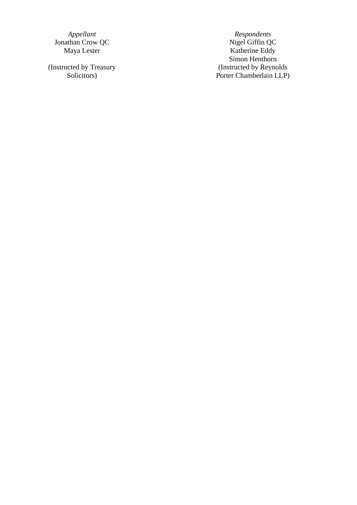Jonathan Crow QC<br>Maya Lester

(Instructed by Treasury Solicitors)

*Appellant* Respondents<br> **A** Respondents<br> **A** Respondents<br>
Nigel Giffin QC Katherine Eddy Simon Henthorn (Instructed by Reynolds Porter Chamberlain LLP)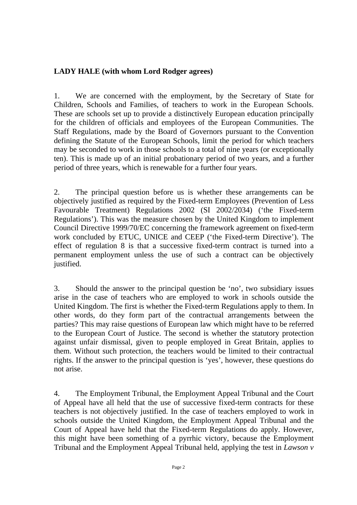# **LADY HALE (with whom Lord Rodger agrees)**

1. We are concerned with the employment, by the Secretary of State for Children, Schools and Families, of teachers to work in the European Schools. These are schools set up to provide a distinctively European education principally for the children of officials and employees of the European Communities. The Staff Regulations, made by the Board of Governors pursuant to the Convention defining the Statute of the European Schools, limit the period for which teachers may be seconded to work in those schools to a total of nine years (or exceptionally ten). This is made up of an initial probationary period of two years, and a further period of three years, which is renewable for a further four years.

2. The principal question before us is whether these arrangements can be objectively justified as required by the Fixed-term Employees (Prevention of Less Favourable Treatment) Regulations 2002 (SI 2002/2034) ('the Fixed-term Regulations'). This was the measure chosen by the United Kingdom to implement Council Directive 1999/70/EC concerning the framework agreement on fixed-term work concluded by ETUC, UNICE and CEEP ('the Fixed-term Directive'). The effect of regulation 8 is that a successive fixed-term contract is turned into a permanent employment unless the use of such a contract can be objectively justified.

3. Should the answer to the principal question be 'no', two subsidiary issues arise in the case of teachers who are employed to work in schools outside the United Kingdom. The first is whether the Fixed-term Regulations apply to them. In other words, do they form part of the contractual arrangements between the parties? This may raise questions of European law which might have to be referred to the European Court of Justice. The second is whether the statutory protection against unfair dismissal, given to people employed in Great Britain, applies to them. Without such protection, the teachers would be limited to their contractual rights. If the answer to the principal question is 'yes', however, these questions do not arise.

4. The Employment Tribunal, the Employment Appeal Tribunal and the Court of Appeal have all held that the use of successive fixed-term contracts for these teachers is not objectively justified. In the case of teachers employed to work in schools outside the United Kingdom, the Employment Appeal Tribunal and the Court of Appeal have held that the Fixed-term Regulations do apply. However, this might have been something of a pyrrhic victory, because the Employment Tribunal and the Employment Appeal Tribunal held, applying the test in *Lawson v*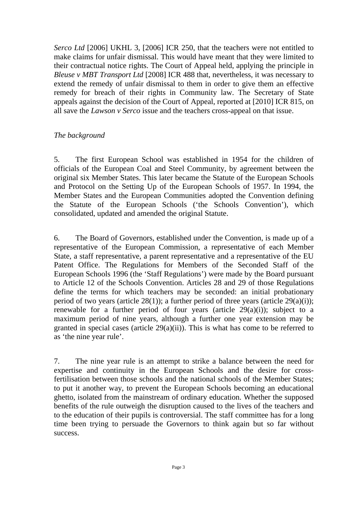*Serco Ltd* [2006] UKHL 3, [2006] ICR 250, that the teachers were not entitled to make claims for unfair dismissal. This would have meant that they were limited to their contractual notice rights. The Court of Appeal held, applying the principle in *Bleuse v MBT Transport Ltd* [2008] ICR 488 that, nevertheless, it was necessary to extend the remedy of unfair dismissal to them in order to give them an effective remedy for breach of their rights in Community law. The Secretary of State appeals against the decision of the Court of Appeal, reported at [2010] ICR 815, on all save the *Lawson v Serco* issue and the teachers cross-appeal on that issue.

#### *The background*

5. The first European School was established in 1954 for the children of officials of the European Coal and Steel Community, by agreement between the original six Member States. This later became the Statute of the European Schools and Protocol on the Setting Up of the European Schools of 1957. In 1994, the Member States and the European Communities adopted the Convention defining the Statute of the European Schools ('the Schools Convention'), which consolidated, updated and amended the original Statute.

6. The Board of Governors, established under the Convention, is made up of a representative of the European Commission, a representative of each Member State, a staff representative, a parent representative and a representative of the EU Patent Office. The Regulations for Members of the Seconded Staff of the European Schools 1996 (the 'Staff Regulations') were made by the Board pursuant to Article 12 of the Schools Convention. Articles 28 and 29 of those Regulations define the terms for which teachers may be seconded: an initial probationary period of two years (article  $28(1)$ ); a further period of three years (article  $29(a)(i)$ ); renewable for a further period of four years (article  $29(a)(i)$ ); subject to a maximum period of nine years, although a further one year extension may be granted in special cases (article 29(a)(ii)). This is what has come to be referred to as 'the nine year rule'.

7. The nine year rule is an attempt to strike a balance between the need for expertise and continuity in the European Schools and the desire for crossfertilisation between those schools and the national schools of the Member States; to put it another way, to prevent the European Schools becoming an educational ghetto, isolated from the mainstream of ordinary education. Whether the supposed benefits of the rule outweigh the disruption caused to the lives of the teachers and to the education of their pupils is controversial. The staff committee has for a long time been trying to persuade the Governors to think again but so far without success.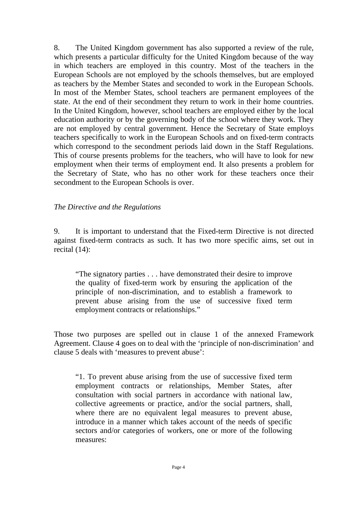8. The United Kingdom government has also supported a review of the rule, which presents a particular difficulty for the United Kingdom because of the way in which teachers are employed in this country. Most of the teachers in the European Schools are not employed by the schools themselves, but are employed as teachers by the Member States and seconded to work in the European Schools. In most of the Member States, school teachers are permanent employees of the state. At the end of their secondment they return to work in their home countries. In the United Kingdom, however, school teachers are employed either by the local education authority or by the governing body of the school where they work. They are not employed by central government. Hence the Secretary of State employs teachers specifically to work in the European Schools and on fixed-term contracts which correspond to the secondment periods laid down in the Staff Regulations. This of course presents problems for the teachers, who will have to look for new employment when their terms of employment end. It also presents a problem for the Secretary of State, who has no other work for these teachers once their secondment to the European Schools is over.

#### *The Directive and the Regulations*

9. It is important to understand that the Fixed-term Directive is not directed against fixed-term contracts as such. It has two more specific aims, set out in recital (14):

"The signatory parties . . . have demonstrated their desire to improve the quality of fixed-term work by ensuring the application of the principle of non-discrimination, and to establish a framework to prevent abuse arising from the use of successive fixed term employment contracts or relationships."

Those two purposes are spelled out in clause 1 of the annexed Framework Agreement. Clause 4 goes on to deal with the 'principle of non-discrimination' and clause 5 deals with 'measures to prevent abuse':

"1. To prevent abuse arising from the use of successive fixed term employment contracts or relationships, Member States, after consultation with social partners in accordance with national law, collective agreements or practice, and/or the social partners, shall, where there are no equivalent legal measures to prevent abuse, introduce in a manner which takes account of the needs of specific sectors and/or categories of workers, one or more of the following measures: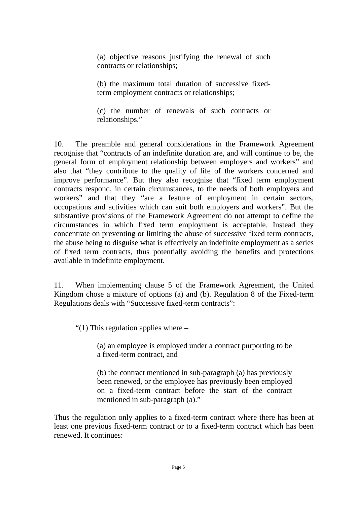(a) objective reasons justifying the renewal of such contracts or relationships;

(b) the maximum total duration of successive fixedterm employment contracts or relationships;

(c) the number of renewals of such contracts or relationships."

10. The preamble and general considerations in the Framework Agreement recognise that "contracts of an indefinite duration are, and will continue to be, the general form of employment relationship between employers and workers" and also that "they contribute to the quality of life of the workers concerned and improve performance". But they also recognise that "fixed term employment contracts respond, in certain circumstances, to the needs of both employers and workers" and that they "are a feature of employment in certain sectors, occupations and activities which can suit both employers and workers". But the substantive provisions of the Framework Agreement do not attempt to define the circumstances in which fixed term employment is acceptable. Instead they concentrate on preventing or limiting the abuse of successive fixed term contracts, the abuse being to disguise what is effectively an indefinite employment as a series of fixed term contracts, thus potentially avoiding the benefits and protections available in indefinite employment.

11. When implementing clause 5 of the Framework Agreement, the United Kingdom chose a mixture of options (a) and (b). Regulation 8 of the Fixed-term Regulations deals with "Successive fixed-term contracts":

"(1) This regulation applies where  $-$ 

(a) an employee is employed under a contract purporting to be a fixed-term contract, and

(b) the contract mentioned in sub-paragraph (a) has previously been renewed, or the employee has previously been employed on a fixed-term contract before the start of the contract mentioned in sub-paragraph (a)."

Thus the regulation only applies to a fixed-term contract where there has been at least one previous fixed-term contract or to a fixed-term contract which has been renewed. It continues: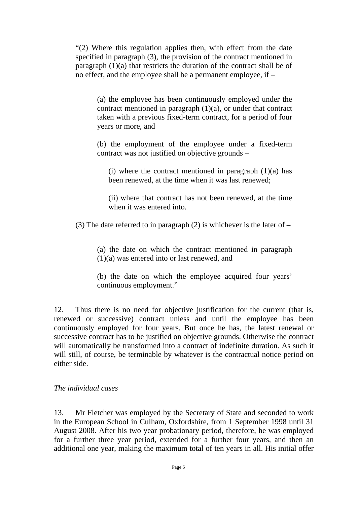"(2) Where this regulation applies then, with effect from the date specified in paragraph (3), the provision of the contract mentioned in paragraph  $(1)(a)$  that restricts the duration of the contract shall be of no effect, and the employee shall be a permanent employee, if –

(a) the employee has been continuously employed under the contract mentioned in paragraph (1)(a), or under that contract taken with a previous fixed-term contract, for a period of four years or more, and

(b) the employment of the employee under a fixed-term contract was not justified on objective grounds –

(i) where the contract mentioned in paragraph  $(1)(a)$  has been renewed, at the time when it was last renewed;

(ii) where that contract has not been renewed, at the time when it was entered into.

(3) The date referred to in paragraph (2) is whichever is the later of  $-$ 

(a) the date on which the contract mentioned in paragraph (1)(a) was entered into or last renewed, and

(b) the date on which the employee acquired four years' continuous employment."

12. Thus there is no need for objective justification for the current (that is, renewed or successive) contract unless and until the employee has been continuously employed for four years. But once he has, the latest renewal or successive contract has to be justified on objective grounds. Otherwise the contract will automatically be transformed into a contract of indefinite duration. As such it will still, of course, be terminable by whatever is the contractual notice period on either side.

### *The individual cases*

13. Mr Fletcher was employed by the Secretary of State and seconded to work in the European School in Culham, Oxfordshire, from 1 September 1998 until 31 August 2008. After his two year probationary period, therefore, he was employed for a further three year period, extended for a further four years, and then an additional one year, making the maximum total of ten years in all. His initial offer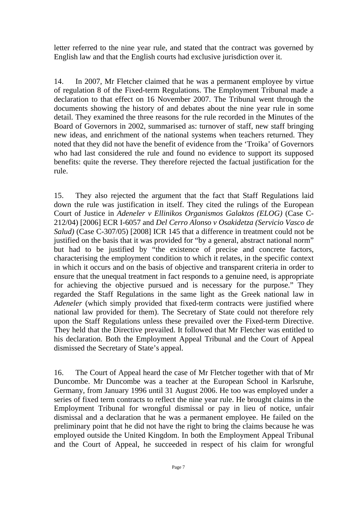letter referred to the nine year rule, and stated that the contract was governed by English law and that the English courts had exclusive jurisdiction over it.

14. In 2007, Mr Fletcher claimed that he was a permanent employee by virtue of regulation 8 of the Fixed-term Regulations. The Employment Tribunal made a declaration to that effect on 16 November 2007. The Tribunal went through the documents showing the history of and debates about the nine year rule in some detail. They examined the three reasons for the rule recorded in the Minutes of the Board of Governors in 2002, summarised as: turnover of staff, new staff bringing new ideas, and enrichment of the national systems when teachers returned. They noted that they did not have the benefit of evidence from the 'Troika' of Governors who had last considered the rule and found no evidence to support its supposed benefits: quite the reverse. They therefore rejected the factual justification for the rule.

15. They also rejected the argument that the fact that Staff Regulations laid down the rule was justification in itself. They cited the rulings of the European Court of Justice in *Adeneler v Ellinikos Organismos Galaktos (ELOG)* (Case C-212/04) [2006] ECR I-6057 and *Del Cerro Alonso v Osakidetza (Servicio Vasco de Salud)* (Case C-307/05) [2008] ICR 145 that a difference in treatment could not be justified on the basis that it was provided for "by a general, abstract national norm" but had to be justified by "the existence of precise and concrete factors, characterising the employment condition to which it relates, in the specific context in which it occurs and on the basis of objective and transparent criteria in order to ensure that the unequal treatment in fact responds to a genuine need, is appropriate for achieving the objective pursued and is necessary for the purpose." They regarded the Staff Regulations in the same light as the Greek national law in *Adeneler* (which simply provided that fixed-term contracts were justified where national law provided for them). The Secretary of State could not therefore rely upon the Staff Regulations unless these prevailed over the Fixed-term Directive. They held that the Directive prevailed. It followed that Mr Fletcher was entitled to his declaration. Both the Employment Appeal Tribunal and the Court of Appeal dismissed the Secretary of State's appeal.

16. The Court of Appeal heard the case of Mr Fletcher together with that of Mr Duncombe. Mr Duncombe was a teacher at the European School in Karlsruhe, Germany, from January 1996 until 31 August 2006. He too was employed under a series of fixed term contracts to reflect the nine year rule. He brought claims in the Employment Tribunal for wrongful dismissal or pay in lieu of notice, unfair dismissal and a declaration that he was a permanent employee. He failed on the preliminary point that he did not have the right to bring the claims because he was employed outside the United Kingdom. In both the Employment Appeal Tribunal and the Court of Appeal, he succeeded in respect of his claim for wrongful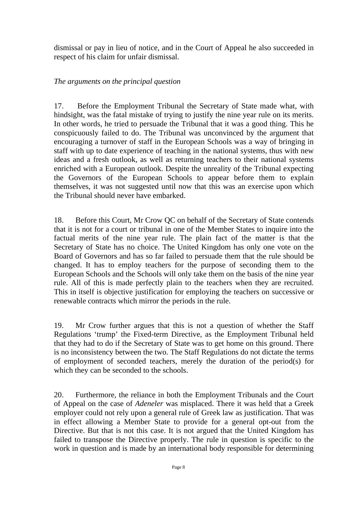dismissal or pay in lieu of notice, and in the Court of Appeal he also succeeded in respect of his claim for unfair dismissal.

# *The arguments on the principal question*

17. Before the Employment Tribunal the Secretary of State made what, with hindsight, was the fatal mistake of trying to justify the nine year rule on its merits. In other words, he tried to persuade the Tribunal that it was a good thing. This he conspicuously failed to do. The Tribunal was unconvinced by the argument that encouraging a turnover of staff in the European Schools was a way of bringing in staff with up to date experience of teaching in the national systems, thus with new ideas and a fresh outlook, as well as returning teachers to their national systems enriched with a European outlook. Despite the unreality of the Tribunal expecting the Governors of the European Schools to appear before them to explain themselves, it was not suggested until now that this was an exercise upon which the Tribunal should never have embarked.

18. Before this Court, Mr Crow QC on behalf of the Secretary of State contends that it is not for a court or tribunal in one of the Member States to inquire into the factual merits of the nine year rule. The plain fact of the matter is that the Secretary of State has no choice. The United Kingdom has only one vote on the Board of Governors and has so far failed to persuade them that the rule should be changed. It has to employ teachers for the purpose of seconding them to the European Schools and the Schools will only take them on the basis of the nine year rule. All of this is made perfectly plain to the teachers when they are recruited. This in itself is objective justification for employing the teachers on successive or renewable contracts which mirror the periods in the rule.

19. Mr Crow further argues that this is not a question of whether the Staff Regulations 'trump' the Fixed-term Directive, as the Employment Tribunal held that they had to do if the Secretary of State was to get home on this ground. There is no inconsistency between the two. The Staff Regulations do not dictate the terms of employment of seconded teachers, merely the duration of the period(s) for which they can be seconded to the schools.

20. Furthermore, the reliance in both the Employment Tribunals and the Court of Appeal on the case of *Adeneler* was misplaced. There it was held that a Greek employer could not rely upon a general rule of Greek law as justification. That was in effect allowing a Member State to provide for a general opt-out from the Directive. But that is not this case. It is not argued that the United Kingdom has failed to transpose the Directive properly. The rule in question is specific to the work in question and is made by an international body responsible for determining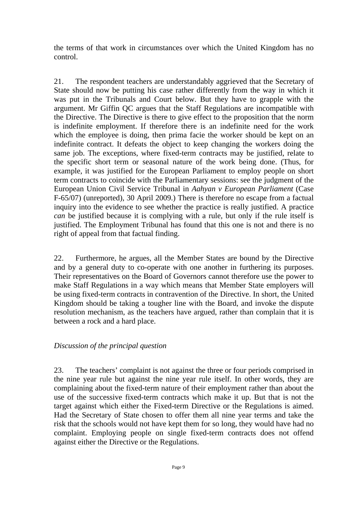the terms of that work in circumstances over which the United Kingdom has no control.

21. The respondent teachers are understandably aggrieved that the Secretary of State should now be putting his case rather differently from the way in which it was put in the Tribunals and Court below. But they have to grapple with the argument. Mr Giffin QC argues that the Staff Regulations are incompatible with the Directive. The Directive is there to give effect to the proposition that the norm is indefinite employment. If therefore there is an indefinite need for the work which the employee is doing, then prima facie the worker should be kept on an indefinite contract. It defeats the object to keep changing the workers doing the same job. The exceptions, where fixed-term contracts may be justified, relate to the specific short term or seasonal nature of the work being done. (Thus, for example, it was justified for the European Parliament to employ people on short term contracts to coincide with the Parliamentary sessions: see the judgment of the European Union Civil Service Tribunal in *Aahyan v European Parliament* (Case F-65/07) (unreported), 30 April 2009.) There is therefore no escape from a factual inquiry into the evidence to see whether the practice is really justified. A practice *can* be justified because it is complying with a rule, but only if the rule itself is justified. The Employment Tribunal has found that this one is not and there is no right of appeal from that factual finding.

22. Furthermore, he argues, all the Member States are bound by the Directive and by a general duty to co-operate with one another in furthering its purposes. Their representatives on the Board of Governors cannot therefore use the power to make Staff Regulations in a way which means that Member State employers will be using fixed-term contracts in contravention of the Directive. In short, the United Kingdom should be taking a tougher line with the Board, and invoke the dispute resolution mechanism, as the teachers have argued, rather than complain that it is between a rock and a hard place.

### *Discussion of the principal question*

23. The teachers' complaint is not against the three or four periods comprised in the nine year rule but against the nine year rule itself. In other words, they are complaining about the fixed-term nature of their employment rather than about the use of the successive fixed-term contracts which make it up. But that is not the target against which either the Fixed-term Directive or the Regulations is aimed. Had the Secretary of State chosen to offer them all nine year terms and take the risk that the schools would not have kept them for so long, they would have had no complaint. Employing people on single fixed-term contracts does not offend against either the Directive or the Regulations.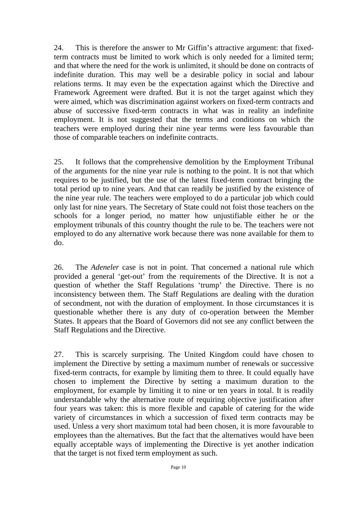24. This is therefore the answer to Mr Giffin's attractive argument: that fixedterm contracts must be limited to work which is only needed for a limited term; and that where the need for the work is unlimited, it should be done on contracts of indefinite duration. This may well be a desirable policy in social and labour relations terms. It may even be the expectation against which the Directive and Framework Agreement were drafted. But it is not the target against which they were aimed, which was discrimination against workers on fixed-term contracts and abuse of successive fixed-term contracts in what was in reality an indefinite employment. It is not suggested that the terms and conditions on which the teachers were employed during their nine year terms were less favourable than those of comparable teachers on indefinite contracts.

25. It follows that the comprehensive demolition by the Employment Tribunal of the arguments for the nine year rule is nothing to the point. It is not that which requires to be justified, but the use of the latest fixed-term contract bringing the total period up to nine years. And that can readily be justified by the existence of the nine year rule. The teachers were employed to do a particular job which could only last for nine years. The Secretary of State could not foist those teachers on the schools for a longer period, no matter how unjustifiable either he or the employment tribunals of this country thought the rule to be. The teachers were not employed to do any alternative work because there was none available for them to do.

26. The *Adeneler* case is not in point. That concerned a national rule which provided a general 'get-out' from the requirements of the Directive. It is not a question of whether the Staff Regulations 'trump' the Directive. There is no inconsistency between them. The Staff Regulations are dealing with the duration of secondment, not with the duration of employment. In those circumstances it is questionable whether there is any duty of co-operation between the Member States. It appears that the Board of Governors did not see any conflict between the Staff Regulations and the Directive.

27. This is scarcely surprising. The United Kingdom could have chosen to implement the Directive by setting a maximum number of renewals or successive fixed-term contracts, for example by limiting them to three. It could equally have chosen to implement the Directive by setting a maximum duration to the employment, for example by limiting it to nine or ten years in total. It is readily understandable why the alternative route of requiring objective justification after four years was taken: this is more flexible and capable of catering for the wide variety of circumstances in which a succession of fixed term contracts may be used. Unless a very short maximum total had been chosen, it is more favourable to employees than the alternatives. But the fact that the alternatives would have been equally acceptable ways of implementing the Directive is yet another indication that the target is not fixed term employment as such.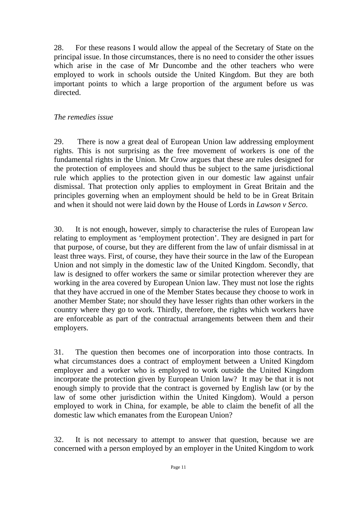28. For these reasons I would allow the appeal of the Secretary of State on the principal issue. In those circumstances, there is no need to consider the other issues which arise in the case of Mr Duncombe and the other teachers who were employed to work in schools outside the United Kingdom. But they are both important points to which a large proportion of the argument before us was directed.

## *The remedies issue*

29. There is now a great deal of European Union law addressing employment rights. This is not surprising as the free movement of workers is one of the fundamental rights in the Union. Mr Crow argues that these are rules designed for the protection of employees and should thus be subject to the same jurisdictional rule which applies to the protection given in our domestic law against unfair dismissal. That protection only applies to employment in Great Britain and the principles governing when an employment should be held to be in Great Britain and when it should not were laid down by the House of Lords in *Lawson v Serco*.

30. It is not enough, however, simply to characterise the rules of European law relating to employment as 'employment protection'. They are designed in part for that purpose, of course, but they are different from the law of unfair dismissal in at least three ways. First, of course, they have their source in the law of the European Union and not simply in the domestic law of the United Kingdom. Secondly, that law is designed to offer workers the same or similar protection wherever they are working in the area covered by European Union law. They must not lose the rights that they have accrued in one of the Member States because they choose to work in another Member State; nor should they have lesser rights than other workers in the country where they go to work. Thirdly, therefore, the rights which workers have are enforceable as part of the contractual arrangements between them and their employers.

31. The question then becomes one of incorporation into those contracts. In what circumstances does a contract of employment between a United Kingdom employer and a worker who is employed to work outside the United Kingdom incorporate the protection given by European Union law? It may be that it is not enough simply to provide that the contract is governed by English law (or by the law of some other jurisdiction within the United Kingdom). Would a person employed to work in China, for example, be able to claim the benefit of all the domestic law which emanates from the European Union?

32. It is not necessary to attempt to answer that question, because we are concerned with a person employed by an employer in the United Kingdom to work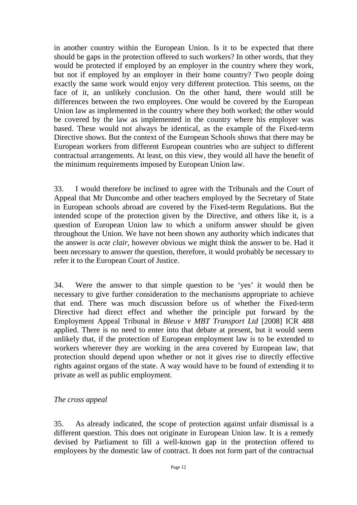in another country within the European Union. Is it to be expected that there should be gaps in the protection offered to such workers? In other words, that they would be protected if employed by an employer in the country where they work, but not if employed by an employer in their home country? Two people doing exactly the same work would enjoy very different protection. This seems, on the face of it, an unlikely conclusion. On the other hand, there would still be differences between the two employees. One would be covered by the European Union law as implemented in the country where they both worked; the other would be covered by the law as implemented in the country where his employer was based. These would not always be identical, as the example of the Fixed-term Directive shows. But the context of the European Schools shows that there may be European workers from different European countries who are subject to different contractual arrangements. At least, on this view, they would all have the benefit of the minimum requirements imposed by European Union law.

33. I would therefore be inclined to agree with the Tribunals and the Court of Appeal that Mr Duncombe and other teachers employed by the Secretary of State in European schools abroad are covered by the Fixed-term Regulations. But the intended scope of the protection given by the Directive, and others like it, is a question of European Union law to which a uniform answer should be given throughout the Union. We have not been shown any authority which indicates that the answer is *acte clair*, however obvious we might think the answer to be. Had it been necessary to answer the question, therefore, it would probably be necessary to refer it to the European Court of Justice.

34. Were the answer to that simple question to be 'yes' it would then be necessary to give further consideration to the mechanisms appropriate to achieve that end. There was much discussion before us of whether the Fixed-term Directive had direct effect and whether the principle put forward by the Employment Appeal Tribunal in *Bleuse v MBT Transport Ltd* [2008] ICR 488 applied. There is no need to enter into that debate at present, but it would seem unlikely that, if the protection of European employment law is to be extended to workers wherever they are working in the area covered by European law, that protection should depend upon whether or not it gives rise to directly effective rights against organs of the state. A way would have to be found of extending it to private as well as public employment.

### *The cross appeal*

35. As already indicated, the scope of protection against unfair dismissal is a different question. This does not originate in European Union law. It is a remedy devised by Parliament to fill a well-known gap in the protection offered to employees by the domestic law of contract. It does not form part of the contractual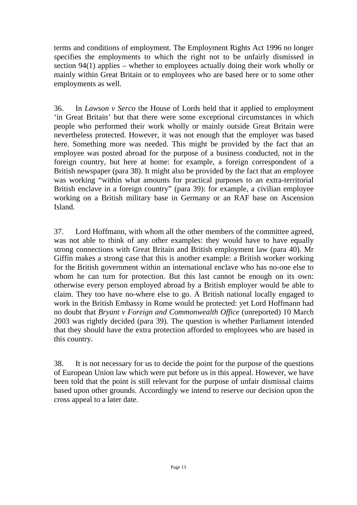terms and conditions of employment. The Employment Rights Act 1996 no longer specifies the employments to which the right not to be unfairly dismissed in section 94(1) applies – whether to employees actually doing their work wholly or mainly within Great Britain or to employees who are based here or to some other employments as well.

36. In *Lawson v Serco* the House of Lords held that it applied to employment 'in Great Britain' but that there were some exceptional circumstances in which people who performed their work wholly or mainly outside Great Britain were nevertheless protected. However, it was not enough that the employer was based here. Something more was needed. This might be provided by the fact that an employee was posted abroad for the purpose of a business conducted, not in the foreign country, but here at home: for example, a foreign correspondent of a British newspaper (para 38). It might also be provided by the fact that an employee was working "within what amounts for practical purposes to an extra-territorial British enclave in a foreign country" (para 39): for example, a civilian employee working on a British military base in Germany or an RAF base on Ascension Island.

37. Lord Hoffmann, with whom all the other members of the committee agreed, was not able to think of any other examples: they would have to have equally strong connections with Great Britain and British employment law (para 40). Mr Giffin makes a strong case that this is another example: a British worker working for the British government within an international enclave who has no-one else to whom he can turn for protection. But this last cannot be enough on its own: otherwise every person employed abroad by a British employer would be able to claim. They too have no-where else to go. A British national locally engaged to work in the British Embassy in Rome would be protected: yet Lord Hoffmann had no doubt that *Bryant v Foreign and Commonwealth Office* (unreported) 10 March 2003 was rightly decided (para 39). The question is whether Parliament intended that they should have the extra protection afforded to employees who are based in this country.

38. It is not necessary for us to decide the point for the purpose of the questions of European Union law which were put before us in this appeal. However, we have been told that the point is still relevant for the purpose of unfair dismissal claims based upon other grounds. Accordingly we intend to reserve our decision upon the cross appeal to a later date.